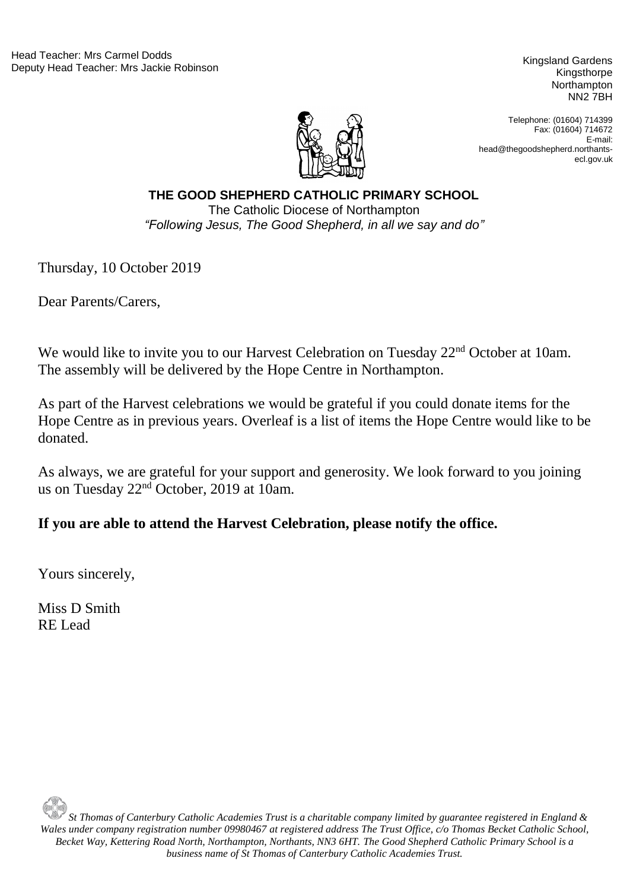Kingsthorpe Northampton NN2 7BH



Telephone: (01604) 714399 Fax: (01604) 714672 E-mail: head@thegoodshepherd.northantsecl.gov.uk

"Following Jesus, The Good Shepherd, in all we say and do" **THE GOOD SHEPHERD CATHOLIC PRIMARY SCHOOL** The Catholic Diocese of Northampton

Thursday, 10 October 2019

Dear Parents/Carers,

We would like to invite you to our Harvest Celebration on Tuesday 22<sup>nd</sup> October at 10am. The assembly will be delivered by the Hope Centre in Northampton.

As part of the Harvest celebrations we would be grateful if you could donate items for the Hope Centre as in previous years. Overleaf is a list of items the Hope Centre would like to be donated.

As always, we are grateful for your support and generosity. We look forward to you joining us on Tuesday 22nd October, 2019 at 10am.

## **If you are able to attend the Harvest Celebration, please notify the office.**

Yours sincerely,

Miss D Smith RE Lead

*St Thomas of Canterbury Catholic Academies Trust is a charitable company limited by guarantee registered in England & Wales under company registration number 09980467 at registered address The Trust Office, c/o Thomas Becket Catholic School, Becket Way, Kettering Road North, Northampton, Northants, NN3 6HT. The Good Shepherd Catholic Primary School is a business name of St Thomas of Canterbury Catholic Academies Trust.*